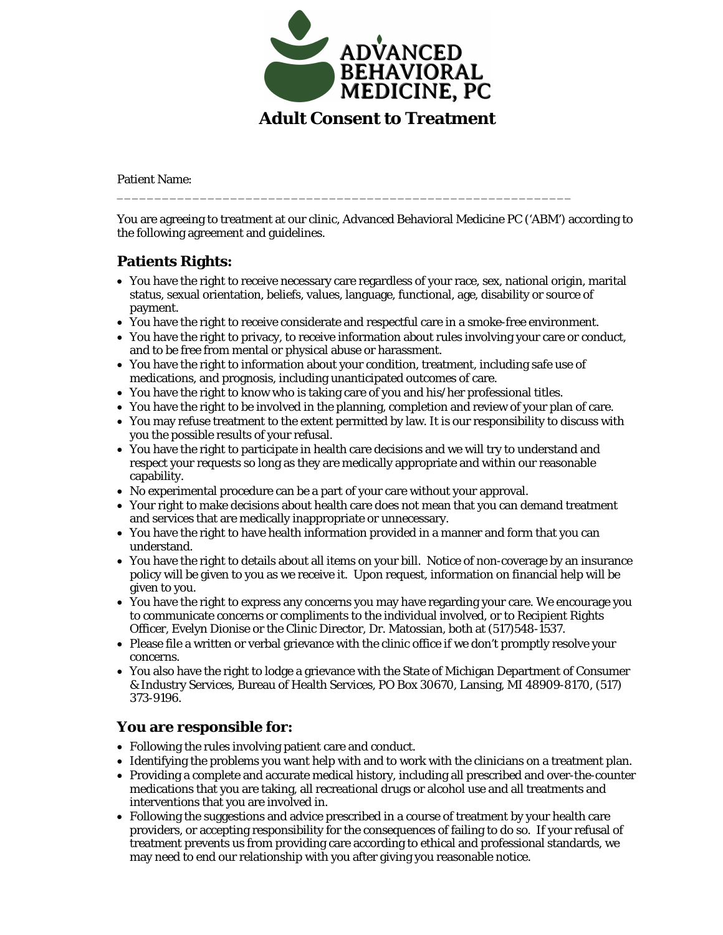

Patient Name:

You are agreeing to treatment at our clinic, Advanced Behavioral Medicine PC ('ABM') according to the following agreement and guidelines.

\_\_\_\_\_\_\_\_\_\_\_\_\_\_\_\_\_\_\_\_\_\_\_\_\_\_\_\_\_\_\_\_\_\_\_\_\_\_\_\_\_\_\_\_\_\_\_\_\_\_\_\_\_\_\_\_\_\_\_\_

## **Patients Rights:**

- You have the right to receive necessary care regardless of your race, sex, national origin, marital status, sexual orientation, beliefs, values, language, functional, age, disability or source of payment.
- You have the right to receive considerate and respectful care in a smoke-free environment.
- You have the right to privacy, to receive information about rules involving your care or conduct, and to be free from mental or physical abuse or harassment.
- You have the right to information about your condition, treatment, including safe use of medications, and prognosis, including unanticipated outcomes of care.
- You have the right to know who is taking care of you and his/her professional titles.
- You have the right to be involved in the planning, completion and review of your plan of care.
- You may refuse treatment to the extent permitted by law. It is our responsibility to discuss with you the possible results of your refusal.
- You have the right to participate in health care decisions and we will try to understand and respect your requests so long as they are medically appropriate and within our reasonable capability.
- No experimental procedure can be a part of your care without your approval.
- Your right to make decisions about health care does not mean that you can demand treatment and services that are medically inappropriate or unnecessary.
- You have the right to have health information provided in a manner and form that you can understand.
- You have the right to details about all items on your bill. Notice of non-coverage by an insurance policy will be given to you as we receive it. Upon request, information on financial help will be given to you.
- You have the right to express any concerns you may have regarding your care. We encourage you to communicate concerns or compliments to the individual involved, or to Recipient Rights Officer, Evelyn Dionise or the Clinic Director, Dr. Matossian, both at (517)548-1537.
- Please file a written or verbal grievance with the clinic office if we don't promptly resolve your concerns.
- You also have the right to lodge a grievance with the State of Michigan Department of Consumer & Industry Services, Bureau of Health Services, PO Box 30670, Lansing, MI 48909-8170, (517) 373-9196.

## **You are responsible for:**

- Following the rules involving patient care and conduct.
- Identifying the problems you want help with and to work with the clinicians on a treatment plan.
- Providing a complete and accurate medical history, including all prescribed and over-the-counter medications that you are taking, all recreational drugs or alcohol use and all treatments and interventions that you are involved in.
- Following the suggestions and advice prescribed in a course of treatment by your health care providers, or accepting responsibility for the consequences of failing to do so. If your refusal of treatment prevents us from providing care according to ethical and professional standards, we may need to end our relationship with you after giving you reasonable notice.